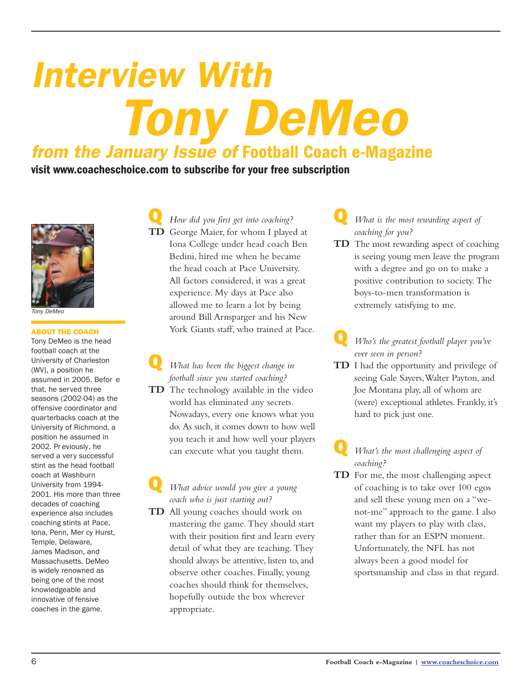# *Interview With from the January Issue of* Football Coach e-Magazine *Tony DeMeo*

visit www.coacheschoice.com to subscribe for your free subscription



*Tony DeMeo*

#### ABOUT THE COACH

Tony DeMeo is the head football coach at the University of Charleston (WV), a position he assumed in 2005. Befor e that, he served three seasons (2002-04) as the offensive coordinator and quarterbacks coach at the University of Richmond, a position he assumed in 2002. Pr eviously, he served a very successful stint as the head football coach at Washburn University from 1994- 2001. His more than three decades of coaching experience also includes coaching stints at Pace, Iona, Penn, Mer cy Hurst, Temple, Delaware, James Madison, and Massachusetts. DeMeo is widely renowned as being one of the most knowledgeable and innovative of fensive coaches in the game.

Q *How did you first get into coaching?* **TD** George Maier, for whom I played at Iona College under head coach Ben Bedini, hired me when he became the head coach at Pace University. All factors considered, it was a great experience. My days at Pace also allowed me to learn a lot by being around Bill Arnsparger and his New York Giants staff, who trained at Pace.

Q *What has been the biggest change in football since you started coaching?* **TD** The technology available in the video world has eliminated any secrets. Nowadays, every one knows what you do. As such, it comes down to how well you teach it and how well your players can execute what you taught them.

#### Q *What advice would you give <sup>a</sup> young coach who is just starting out?*

**TD** All young coaches should work on mastering the game. They should start with their position first and learn every detail of what they are teaching. They should always be attentive, listen to, and observe other coaches. Finally, young coaches should think for themselves, hopefully outside the box wherever appropriate.

- Q *What is the most rewarding aspect of coaching for you?*
- **TD** The most rewarding aspect of coaching is seeing young men leave the program with a degree and go on to make a positive contribution to society. The boys-to-men transformation is extremely satisfying to me.
	- Q *Who's the greatest football player you've ever seen in person?*
- **TD** I had the opportunity and privilege of seeing Gale Sayers, Walter Payton, and Joe Montana play, all of whom are (were) exceptional athletes. Frankly, it's hard to pick just one.

#### Q *What's the most challenging aspect of coaching?*

**TD** For me, the most challenging aspect of coaching is to take over 100 egos and sell these young men on a "wenot-me" approach to the game. I also want my players to play with class, rather than for an ESPN moment. Unfortunately, the NFL has not always been a good model for sportsmanship and class in that regard.